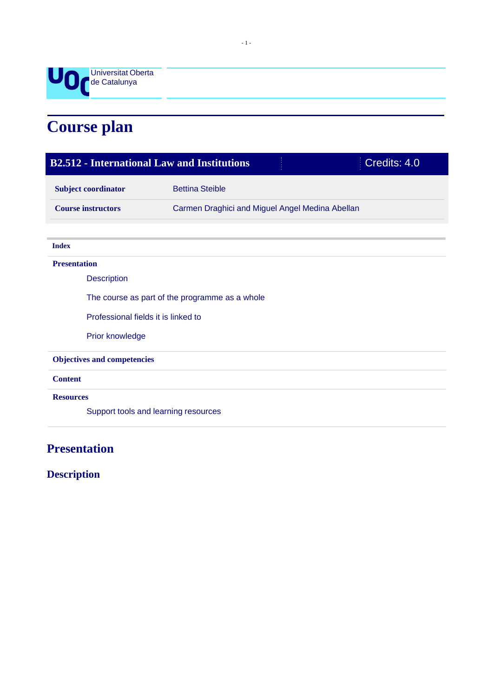

# **Course plan**

| Credits: 4.0<br><b>B2.512 - International Law and Institutions</b> |                                                 |  |  |
|--------------------------------------------------------------------|-------------------------------------------------|--|--|
| <b>Subject coordinator</b>                                         | <b>Bettina Steible</b>                          |  |  |
| <b>Course instructors</b>                                          | Carmen Draghici and Miguel Angel Medina Abellan |  |  |
|                                                                    |                                                 |  |  |
| <b>Index</b>                                                       |                                                 |  |  |
| <b>Presentation</b>                                                |                                                 |  |  |
| <b>Description</b>                                                 |                                                 |  |  |
| The course as part of the programme as a whole                     |                                                 |  |  |
| Professional fields it is linked to                                |                                                 |  |  |
| Prior knowledge                                                    |                                                 |  |  |
| <b>Objectives and competencies</b>                                 |                                                 |  |  |
| <b>Content</b>                                                     |                                                 |  |  |
| <b>Resources</b>                                                   |                                                 |  |  |
| Support tools and learning resources                               |                                                 |  |  |
|                                                                    |                                                 |  |  |

# **Presentation**

**Description**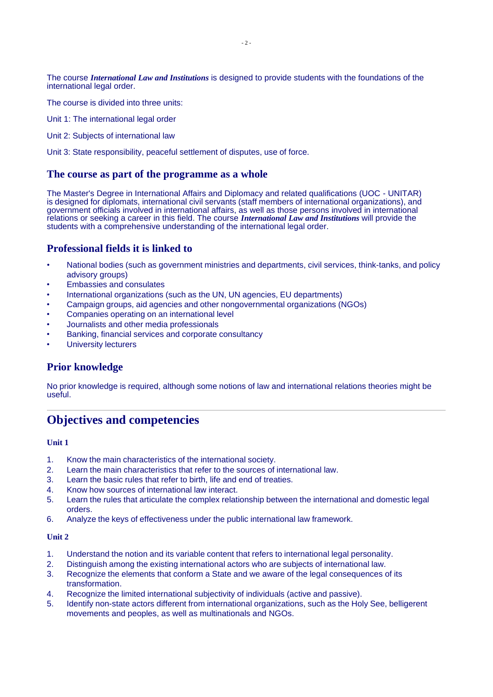The course *International Law and Institutions* is designed to provide students with the foundations of the international legal order.

The course is divided into three units:

Unit 1: The international legal order

Unit 2: Subjects of international law

Unit 3: State responsibility, peaceful settlement of disputes, use of force.

#### **The course as part of the programme as a whole**

The Master's Degree in International Affairs and Diplomacy and related qualifications (UOC - UNITAR) is designed for diplomats, international civil servants (staff members of international organizations), and government officials involved in international affairs, as well as those persons involved in international relations or seeking a career in this field. The course *International Law and Institutions* will provide the students with a comprehensive understanding of the international legal order.

### **Professional fields it is linked to**

- National bodies (such as government ministries and departments, civil services, think-tanks, and policy advisory groups)
- Embassies and consulates
- International organizations (such as the UN, UN agencies, EU departments)
- Campaign groups, aid agencies and other nongovernmental organizations (NGOs)
- Companies operating on an international level
- Journalists and other media professionals
- Banking, financial services and corporate consultancy
- University lecturers

#### **Prior knowledge**

No prior knowledge is required, although some notions of law and international relations theories might be useful.

# **Objectives and competencies**

#### **Unit 1**

- 1. Know the main characteristics of the international society.
- 2. Learn the main characteristics that refer to the sources of international law.
- 3. Learn the basic rules that refer to birth, life and end of treaties.
- 4. Know how sources of international law interact.
- 5. Learn the rules that articulate the complex relationship between the international and domestic legal orders.
- 6. Analyze the keys of effectiveness under the public international law framework.

#### **Unit 2**

- 1. Understand the notion and its variable content that refers to international legal personality.
- 2. Distinguish among the existing international actors who are subjects of international law.
- 3. Recognize the elements that conform a State and we aware of the legal consequences of its transformation.
- 4. Recognize the limited international subjectivity of individuals (active and passive).
- 5. Identify non-state actors different from international organizations, such as the Holy See, belligerent movements and peoples, as well as multinationals and NGOs.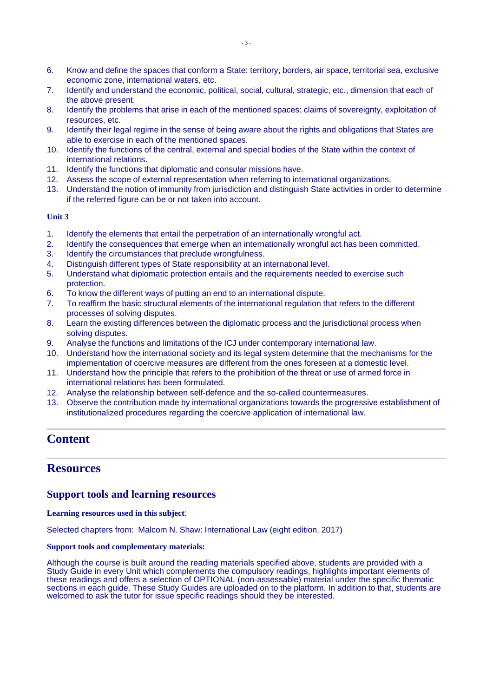- 6. Know and define the spaces that conform a State: territory, borders, air space, territorial sea, exclusive economic zone, international waters, etc.
- 7. Identify and understand the economic, political, social, cultural, strategic, etc., dimension that each of the above present.
- 8. Identify the problems that arise in each of the mentioned spaces: claims of sovereignty, exploitation of resources, etc.
- 9. Identify their legal regime in the sense of being aware about the rights and obligations that States are able to exercise in each of the mentioned spaces.
- 10. Identify the functions of the central, external and special bodies of the State within the context of international relations.
- 11. Identify the functions that diplomatic and consular missions have.
- 12. Assess the scope of external representation when referring to international organizations.
- 13. Understand the notion of immunity from jurisdiction and distinguish State activities in order to determine if the referred figure can be or not taken into account.

#### **Unit 3**

- 1. Identify the elements that entail the perpetration of an internationally wrongful act.
- 2. Identify the consequences that emerge when an internationally wrongful act has been committed.
- 3. Identify the circumstances that preclude wrongfulness.
- 4. Distinguish different types of State responsibility at an international level.
- 5. Understand what diplomatic protection entails and the requirements needed to exercise such protection.
- 6. To know the different ways of putting an end to an international dispute.
- 7. To reaffirm the basic structural elements of the international regulation that refers to the different processes of solving disputes.
- 8. Learn the existing differences between the diplomatic process and the jurisdictional process when solving disputes.
- 9. Analyse the functions and limitations of the ICJ under contemporary international law.
- 10. Understand how the international society and its legal system determine that the mechanisms for the implementation of coercive measures are different from the ones foreseen at a domestic level.
- 11. Understand how the principle that refers to the prohibition of the threat or use of armed force in international relations has been formulated.
- 12. Analyse the relationship between self-defence and the so-called countermeasures.
- 13. Observe the contribution made by international organizations towards the progressive establishment of institutionalized procedures regarding the coercive application of international law.

# **Content**

# **Resources**

#### **Support tools and learning resources**

#### **Learning resources used in this subject**:

Selected chapters from: Malcom N. Shaw: International Law (eight edition, 2017)

#### **Support tools and complementary materials:**

Although the course is built around the reading materials specified above, students are provided with a Study Guide in every Unit which complements the compulsory readings, highlights important elements of these readings and offers a selection of OPTIONAL (non-assessable) material under the specific thematic sections in each guide. These Study Guides are uploaded on to the platform. In addition to that, students are welcomed to ask the tutor for issue specific readings should they be interested.